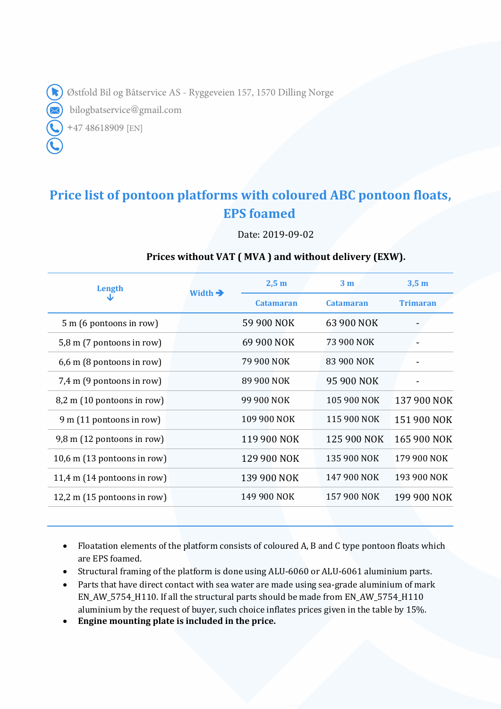Østfold Bil og Båtservice AS - Ryggeveien 157, 1570 Dilling Norge

bilogbatservice@gmail.com

+47 48618909 [EN]

## **Price list of pontoon platforms with coloured ABC pontoon floats, EPS foamed**

Date: 2019-09-02

## **Prices without VAT ( MVA ) and without delivery (EXW).**

| Length                               | Width $\rightarrow$ | 2,5m             | 3 <sub>m</sub>   | 3,5m            |
|--------------------------------------|---------------------|------------------|------------------|-----------------|
|                                      |                     | <b>Catamaran</b> | <b>Catamaran</b> | <b>Trimaran</b> |
| $5 \text{ m}$ (6 pontoons in row)    |                     | 59 900 NOK       | 63 900 NOK       |                 |
| $5,8$ m (7 pontoons in row)          |                     | 69 900 NOK       | 73 900 NOK       |                 |
| 6,6 m (8 pontoons in row)            |                     | 79 900 NOK       | 83 900 NOK       |                 |
| 7,4 m (9 pontoons in row)            |                     | 89 900 NOK       | 95 900 NOK       |                 |
| $8,2 \text{ m}$ (10 pontoons in row) |                     | 99 900 NOK       | 105 900 NOK      | 137 900 NOK     |
| $9 \text{ m}$ (11 pontoons in row)   |                     | 109 900 NOK      | 115 900 NOK      | 151 900 NOK     |
| $9,8 \text{ m}$ (12 pontoons in row) |                     | 119 900 NOK      | 125 900 NOK      | 165 900 NOK     |
| 10,6 m $(13$ pontoons in row)        |                     | 129 900 NOK      | 135 900 NOK      | 179 900 NOK     |
| 11,4 m $(14$ pontoons in row)        |                     | 139 900 NOK      | 147 900 NOK      | 193 900 NOK     |
| 12,2 m (15 pontoons in row)          |                     | 149 900 NOK      | 157 900 NOK      | 199 900 NOK     |
|                                      |                     |                  |                  |                 |

• Floatation elements of the platform consists of coloured A, B and C type pontoon floats which are EPS foamed.

- Structural framing of the platform is done using ALU-6060 or ALU-6061 aluminium parts.
- Parts that have direct contact with sea water are made using sea-grade aluminium of mark EN\_AW\_5754\_H110. If all the structural parts should be made from EN\_AW\_5754\_H110 aluminium by the request of buyer, such choice inflates prices given in the table by 15%.
- **Engine mounting plate is included in the price.**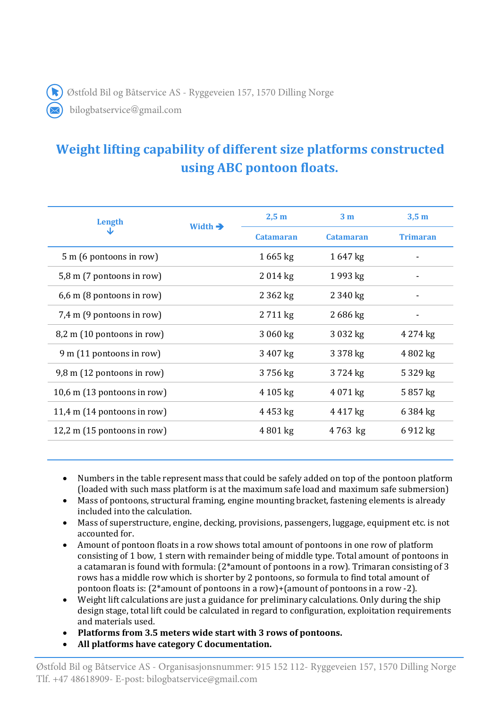Østfold Bil og Båtservice AS - Ryggeveien 157, 1570 Dilling Norge

bilogbatservice@gmail.com

## **Weight lifting capability of different size platforms constructed using ABC pontoon floats.**

| Length<br>◡                          | Width $\rightarrow$ | 2,5m             | 3 <sub>m</sub>   | 3,5m            |
|--------------------------------------|---------------------|------------------|------------------|-----------------|
|                                      |                     | <b>Catamaran</b> | <b>Catamaran</b> | <b>Trimaran</b> |
| 5 m (6 pontoons in row)              |                     | $1665$ kg        | 1647 kg          |                 |
| 5,8 m (7 pontoons in row)            |                     | 2014 kg          | 1993 kg          |                 |
| $6,6$ m (8 pontoons in row)          |                     | 2 3 6 2 kg       | 2 340 kg         |                 |
| 7,4 m (9 pontoons in row)            |                     | 2711 kg          | 2 686 kg         |                 |
| $8,2 \text{ m}$ (10 pontoons in row) |                     | 3 060 kg         | 3 032 kg         | 4 274 kg        |
| $9 \text{ m}$ (11 pontoons in row)   |                     | 3 407 kg         | 3 378 kg         | 4802 kg         |
| 9,8 m (12 pontoons in row)           |                     | 3756 kg          | 3724 kg          | 5 329 kg        |
| 10,6 m $(13$ pontoons in row)        |                     | 4 105 kg         | 4 071 kg         | 5857 kg         |
| 11,4 m $(14$ pontoons in row)        |                     | 4453 kg          | 4 417 kg         | 6 384 kg        |
| 12,2 m $(15$ pontoons in row)        |                     | 4801 kg          | 4763 kg          | 6912 kg         |
|                                      |                     |                  |                  |                 |

- Numbers in the table represent mass that could be safely added on top of the pontoon platform (loaded with such mass platform is at the maximum safe load and maximum safe submersion)
- Mass of pontoons, structural framing, engine mounting bracket, fastening elements is already included into the calculation.
- Mass of superstructure, engine, decking, provisions, passengers, luggage, equipment etc. is not accounted for.
- Amount of pontoon floats in a row shows total amount of pontoons in one row of platform consisting of 1 bow, 1 stern with remainder being of middle type. Total amount of pontoons in a catamaran is found with formula: (2\*amount of pontoons in a row). Trimaran consisting of 3 rows has a middle row which is shorter by 2 pontoons, so formula to find total amount of pontoon floats is: (2\*amount of pontoons in a row)+(amount of pontoons in a row -2).
- Weight lift calculations are just a guidance for preliminary calculations. Only during the ship design stage, total lift could be calculated in regard to configuration, exploitation requirements and materials used.
- **Platforms from 3.5 meters wide start with 3 rows of pontoons.**
- **All platforms have category C documentation.**